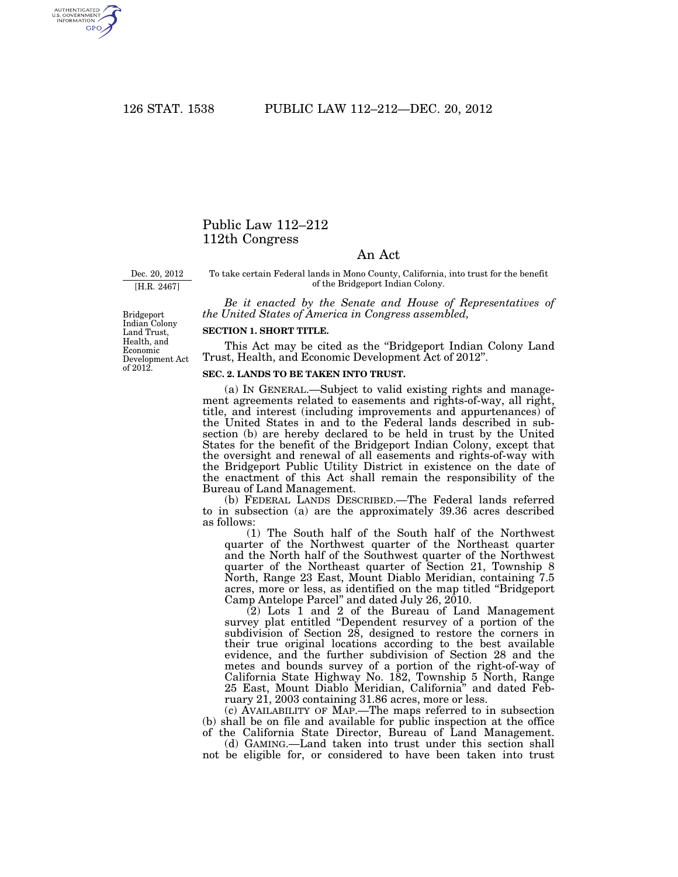AUTHENTICATED<br>U.S. GOVERNMENT<br>INFORMATION GPO

## Public Law 112–212 112th Congress

## An Act

Dec. 20, 2012

[H.R. 2467]

To take certain Federal lands in Mono County, California, into trust for the benefit of the Bridgeport Indian Colony.

*Be it enacted by the Senate and House of Representatives of the United States of America in Congress assembled,* 

## **SECTION 1. SHORT TITLE.**

This Act may be cited as the ''Bridgeport Indian Colony Land Trust, Health, and Economic Development Act of 2012''.

## **SEC. 2. LANDS TO BE TAKEN INTO TRUST.**

(a) IN GENERAL.—Subject to valid existing rights and management agreements related to easements and rights-of-way, all right, title, and interest (including improvements and appurtenances) of the United States in and to the Federal lands described in subsection (b) are hereby declared to be held in trust by the United States for the benefit of the Bridgeport Indian Colony, except that the oversight and renewal of all easements and rights-of-way with the Bridgeport Public Utility District in existence on the date of the enactment of this Act shall remain the responsibility of the Bureau of Land Management.

(b) FEDERAL LANDS DESCRIBED.—The Federal lands referred to in subsection (a) are the approximately 39.36 acres described as follows:

(1) The South half of the South half of the Northwest quarter of the Northwest quarter of the Northeast quarter and the North half of the Southwest quarter of the Northwest quarter of the Northeast quarter of Section 21, Township 8 North, Range 23 East, Mount Diablo Meridian, containing 7.5 acres, more or less, as identified on the map titled ''Bridgeport Camp Antelope Parcel'' and dated July 26, 2010.

 $(2)$  Lots 1 and 2 of the Bureau of Land Management survey plat entitled "Dependent resurvey of a portion of the subdivision of Section 28, designed to restore the corners in their true original locations according to the best available evidence, and the further subdivision of Section 28 and the metes and bounds survey of a portion of the right-of-way of California State Highway No. 182, Township 5 North, Range 25 East, Mount Diablo Meridian, California'' and dated February 21, 2003 containing 31.86 acres, more or less.

(c) AVAILABILITY OF MAP.—The maps referred to in subsection (b) shall be on file and available for public inspection at the office of the California State Director, Bureau of Land Management.

(d) GAMING.—Land taken into trust under this section shall not be eligible for, or considered to have been taken into trust

Bridgeport Indian Colony Land Trust, Health, and Economic Development Act of 2012.